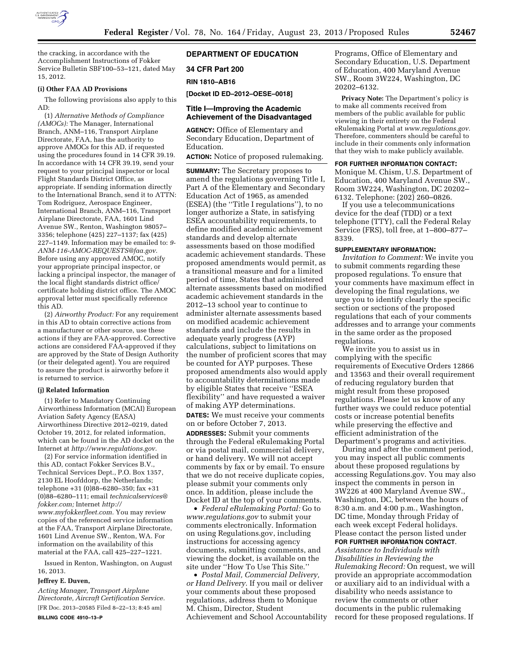

the cracking, in accordance with the Accomplishment Instructions of Fokker Service Bulletin SBF100–53–121, dated May 15, 2012.

### **(i) Other FAA AD Provisions**

The following provisions also apply to this AD:

(1) *Alternative Methods of Compliance (AMOCs):* The Manager, International Branch, ANM–116, Transport Airplane Directorate, FAA, has the authority to approve AMOCs for this AD, if requested using the procedures found in 14 CFR 39.19. In accordance with 14 CFR 39.19, send your request to your principal inspector or local Flight Standards District Office, as appropriate. If sending information directly to the International Branch, send it to ATTN: Tom Rodriguez, Aerospace Engineer, International Branch, ANM–116, Transport Airplane Directorate, FAA, 1601 Lind Avenue SW., Renton, Washington 98057– 3356; telephone (425) 227–1137; fax (425) 227–1149. Information may be emailed to: *[9-](mailto:9-ANM-116-AMOC-REQUESTS@faa.gov) [ANM-116-AMOC-REQUESTS@faa.gov.](mailto:9-ANM-116-AMOC-REQUESTS@faa.gov)*  Before using any approved AMOC, notify your appropriate principal inspector, or lacking a principal inspector, the manager of the local flight standards district office/ certificate holding district office. The AMOC approval letter must specifically reference this AD.

(2) *Airworthy Product:* For any requirement in this AD to obtain corrective actions from a manufacturer or other source, use these actions if they are FAA-approved. Corrective actions are considered FAA-approved if they are approved by the State of Design Authority (or their delegated agent). You are required to assure the product is airworthy before it is returned to service.

#### **(j) Related Information**

(1) Refer to Mandatory Continuing Airworthiness Information (MCAI) European Aviation Safety Agency (EASA) Airworthiness Directive 2012–0219, dated October 19, 2012, for related information, which can be found in the AD docket on the Internet at *[http://www.regulations.gov.](http://www.regulations.gov)* 

(2) For service information identified in this AD, contact Fokker Services B.V., Technical Services Dept., P.O. Box 1357, 2130 EL Hoofddorp, the Netherlands; telephone +31 (0)88–6280–350; fax +31 (0)88–6280–111; email *[technicalservices@](mailto:technicalservices@fokker.com) [fokker.com;](mailto:technicalservices@fokker.com)* Internet *[http://](http://www.myfokkerfleet.com) [www.myfokkerfleet.com.](http://www.myfokkerfleet.com)* You may review copies of the referenced service information at the FAA, Transport Airplane Directorate, 1601 Lind Avenue SW., Renton, WA. For information on the availability of this material at the FAA, call 425–227–1221.

Issued in Renton, Washington, on August 16, 2013.

### **Jeffrey E. Duven,**

*Acting Manager, Transport Airplane Directorate, Aircraft Certification Service.*  [FR Doc. 2013–20585 Filed 8–22–13; 8:45 am] **BILLING CODE 4910–13–P** 

# **DEPARTMENT OF EDUCATION**

## **34 CFR Part 200**

**RIN 1810–AB16** 

**[Docket ID ED–2012–OESE–0018]** 

### **Title I—Improving the Academic Achievement of the Disadvantaged**

**AGENCY:** Office of Elementary and Secondary Education, Department of Education.

**ACTION:** Notice of proposed rulemaking.

**SUMMARY:** The Secretary proposes to amend the regulations governing Title I, Part A of the Elementary and Secondary Education Act of 1965, as amended (ESEA) (the ''Title I regulations''), to no longer authorize a State, in satisfying ESEA accountability requirements, to define modified academic achievement standards and develop alternate assessments based on those modified academic achievement standards. These proposed amendments would permit, as a transitional measure and for a limited period of time, States that administered alternate assessments based on modified academic achievement standards in the 2012–13 school year to continue to administer alternate assessments based on modified academic achievement standards and include the results in adequate yearly progress (AYP) calculations, subject to limitations on the number of proficient scores that may be counted for AYP purposes. These proposed amendments also would apply to accountability determinations made by eligible States that receive ''ESEA flexibility'' and have requested a waiver of making AYP determinations. **DATES:** We must receive your comments on or before October 7, 2013.

**ADDRESSES:** Submit your comments through the Federal eRulemaking Portal or via postal mail, commercial delivery, or hand delivery. We will not accept comments by fax or by email. To ensure that we do not receive duplicate copies, please submit your comments only once. In addition, please include the Docket ID at the top of your comments.

• *Federal eRulemaking Portal:* Go to *[www.regulations.gov](http://www.regulations.gov)* to submit your comments electronically. Information on using Regulations.gov, including instructions for accessing agency documents, submitting comments, and viewing the docket, is available on the site under ''How To Use This Site.''

• *Postal Mail, Commercial Delivery, or Hand Delivery.* If you mail or deliver your comments about these proposed regulations, address them to Monique M. Chism, Director, Student Achievement and School Accountability Programs, Office of Elementary and Secondary Education, U.S. Department of Education, 400 Maryland Avenue SW., Room 3W224, Washington, DC 20202–6132.

**Privacy Note:** The Department's policy is to make all comments received from members of the public available for public viewing in their entirety on the Federal eRulemaking Portal at *[www.regulations.gov.](http://www.regulations.gov)*  Therefore, commenters should be careful to include in their comments only information that they wish to make publicly available.

#### **FOR FURTHER INFORMATION CONTACT:**

Monique M. Chism, U.S. Department of Education, 400 Maryland Avenue SW., Room 3W224, Washington, DC 20202– 6132. Telephone: (202) 260–0826.

If you use a telecommunications device for the deaf (TDD) or a text telephone (TTY), call the Federal Relay Service (FRS), toll free, at 1–800–877– 8339.

#### **SUPPLEMENTARY INFORMATION:**

*Invitation to Comment:* We invite you to submit comments regarding these proposed regulations. To ensure that your comments have maximum effect in developing the final regulations, we urge you to identify clearly the specific section or sections of the proposed regulations that each of your comments addresses and to arrange your comments in the same order as the proposed regulations.

We invite you to assist us in complying with the specific requirements of Executive Orders 12866 and 13563 and their overall requirement of reducing regulatory burden that might result from these proposed regulations. Please let us know of any further ways we could reduce potential costs or increase potential benefits while preserving the effective and efficient administration of the Department's programs and activities.

During and after the comment period, you may inspect all public comments about these proposed regulations by accessing Regulations.gov. You may also inspect the comments in person in 3W226 at 400 Maryland Avenue SW., Washington, DC, between the hours of 8:30 a.m. and 4:00 p.m., Washington, DC time, Monday through Friday of each week except Federal holidays. Please contact the person listed under **FOR FURTHER INFORMATION CONTACT**.

*Assistance to Individuals with Disabilities in Reviewing the Rulemaking Record:* On request, we will provide an appropriate accommodation or auxiliary aid to an individual with a disability who needs assistance to review the comments or other documents in the public rulemaking record for these proposed regulations. If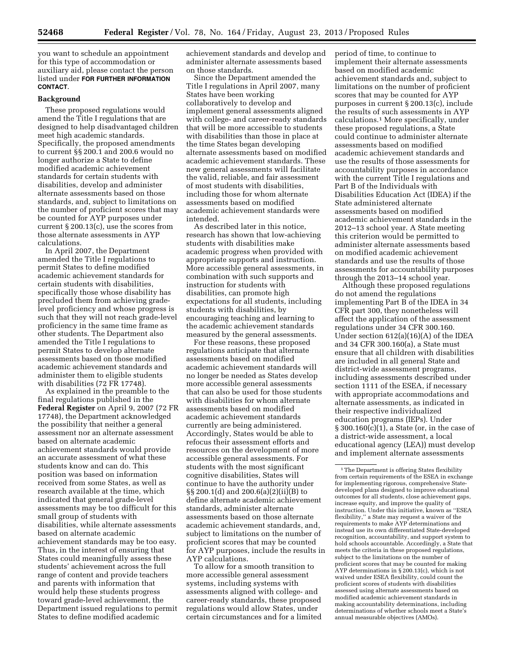you want to schedule an appointment for this type of accommodation or auxiliary aid, please contact the person listed under **FOR FURTHER INFORMATION CONTACT**.

#### **Background**

These proposed regulations would amend the Title I regulations that are designed to help disadvantaged children meet high academic standards. Specifically, the proposed amendments to current §§ 200.1 and 200.6 would no longer authorize a State to define modified academic achievement standards for certain students with disabilities, develop and administer alternate assessments based on those standards, and, subject to limitations on the number of proficient scores that may be counted for AYP purposes under current § 200.13(c), use the scores from those alternate assessments in AYP calculations.

In April 2007, the Department amended the Title I regulations to permit States to define modified academic achievement standards for certain students with disabilities, specifically those whose disability has precluded them from achieving gradelevel proficiency and whose progress is such that they will not reach grade-level proficiency in the same time frame as other students. The Department also amended the Title I regulations to permit States to develop alternate assessments based on those modified academic achievement standards and administer them to eligible students with disabilities (72 FR 17748).

As explained in the preamble to the final regulations published in the **Federal Register** on April 9, 2007 (72 FR 17748), the Department acknowledged the possibility that neither a general assessment nor an alternate assessment based on alternate academic achievement standards would provide an accurate assessment of what these students know and can do. This position was based on information received from some States, as well as research available at the time, which indicated that general grade-level assessments may be too difficult for this small group of students with disabilities, while alternate assessments based on alternate academic achievement standards may be too easy. Thus, in the interest of ensuring that States could meaningfully assess these students' achievement across the full range of content and provide teachers and parents with information that would help these students progress toward grade-level achievement, the Department issued regulations to permit States to define modified academic

achievement standards and develop and administer alternate assessments based on those standards.

Since the Department amended the Title I regulations in April 2007, many States have been working collaboratively to develop and implement general assessments aligned with college- and career-ready standards that will be more accessible to students with disabilities than those in place at the time States began developing alternate assessments based on modified academic achievement standards. These new general assessments will facilitate the valid, reliable, and fair assessment of most students with disabilities, including those for whom alternate assessments based on modified academic achievement standards were intended.

As described later in this notice, research has shown that low-achieving students with disabilities make academic progress when provided with appropriate supports and instruction. More accessible general assessments, in combination with such supports and instruction for students with disabilities, can promote high expectations for all students, including students with disabilities, by encouraging teaching and learning to the academic achievement standards measured by the general assessments.

For these reasons, these proposed regulations anticipate that alternate assessments based on modified academic achievement standards will no longer be needed as States develop more accessible general assessments that can also be used for those students with disabilities for whom alternate assessments based on modified academic achievement standards currently are being administered. Accordingly, States would be able to refocus their assessment efforts and resources on the development of more accessible general assessments. For students with the most significant cognitive disabilities, States will continue to have the authority under §§ 200.1(d) and 200.6(a)(2)(ii)(B) to define alternate academic achievement standards, administer alternate assessments based on those alternate academic achievement standards, and, subject to limitations on the number of proficient scores that may be counted for AYP purposes, include the results in AYP calculations.

To allow for a smooth transition to more accessible general assessment systems, including systems with assessments aligned with college- and career-ready standards, these proposed regulations would allow States, under certain circumstances and for a limited

period of time, to continue to implement their alternate assessments based on modified academic achievement standards and, subject to limitations on the number of proficient scores that may be counted for AYP purposes in current § 200.13(c), include the results of such assessments in AYP calculations.1 More specifically, under these proposed regulations, a State could continue to administer alternate assessments based on modified academic achievement standards and use the results of those assessments for accountability purposes in accordance with the current Title I regulations and Part B of the Individuals with Disabilities Education Act (IDEA) if the State administered alternate assessments based on modified academic achievement standards in the 2012–13 school year. A State meeting this criterion would be permitted to administer alternate assessments based on modified academic achievement standards and use the results of those assessments for accountability purposes through the 2013–14 school year.

Although these proposed regulations do not amend the regulations implementing Part B of the IDEA in 34 CFR part 300, they nonetheless will affect the application of the assessment regulations under 34 CFR 300.160. Under section 612(a)(16)(A) of the IDEA and 34 CFR 300.160(a), a State must ensure that all children with disabilities are included in all general State and district-wide assessment programs, including assessments described under section 1111 of the ESEA, if necessary with appropriate accommodations and alternate assessments, as indicated in their respective individualized education programs (IEPs). Under § 300.160(c)(1), a State (or, in the case of a district-wide assessment, a local educational agency (LEA)) must develop and implement alternate assessments

<sup>1</sup>The Department is offering States flexibility from certain requirements of the ESEA in exchange for implementing rigorous, comprehensive Statedeveloped plans designed to improve educational outcomes for all students, close achievement gaps, increase equity, and improve the quality of instruction. Under this initiative, known as ''ESEA flexibility,'' a State may request a waiver of the requirements to make AYP determinations and instead use its own differentiated State-developed recognition, accountability, and support system to hold schools accountable. Accordingly, a State that meets the criteria in these proposed regulations, subject to the limitations on the number of proficient scores that may be counted for making AYP determinations in § 200.13(c), which is not waived under ESEA flexibility, could count the proficient scores of students with disabilities assessed using alternate assessments based on modified academic achievement standards in making accountability determinations, including determinations of whether schools meet a State's annual measurable objectives (AMOs).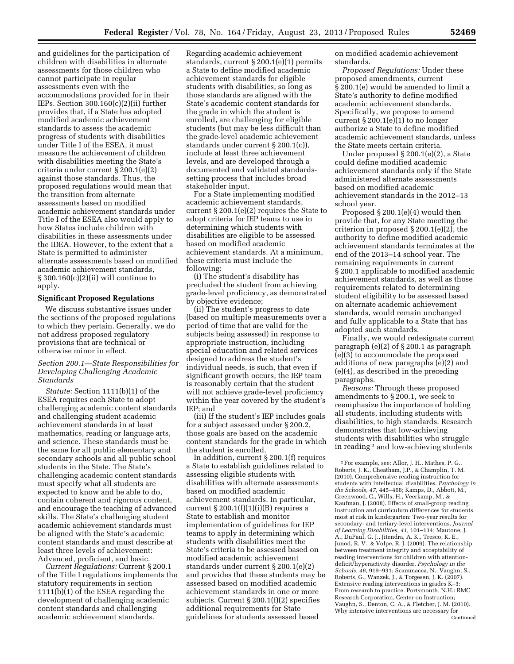and guidelines for the participation of children with disabilities in alternate assessments for those children who cannot participate in regular assessments even with the accommodations provided for in their IEPs. Section 300.160(c)(2)(ii) further provides that, if a State has adopted modified academic achievement standards to assess the academic progress of students with disabilities under Title I of the ESEA, it must measure the achievement of children with disabilities meeting the State's criteria under current § 200.1(e)(2) against those standards. Thus, the proposed regulations would mean that the transition from alternate assessments based on modified academic achievement standards under Title I of the ESEA also would apply to how States include children with disabilities in these assessments under the IDEA. However, to the extent that a State is permitted to administer alternate assessments based on modified academic achievement standards, § 300.160(c)(2)(ii) will continue to apply.

## **Significant Proposed Regulations**

We discuss substantive issues under the sections of the proposed regulations to which they pertain. Generally, we do not address proposed regulatory provisions that are technical or otherwise minor in effect.

## *Section 200.1—State Responsibilities for Developing Challenging Academic Standards*

*Statute:* Section 1111(b)(1) of the ESEA requires each State to adopt challenging academic content standards and challenging student academic achievement standards in at least mathematics, reading or language arts, and science. These standards must be the same for all public elementary and secondary schools and all public school students in the State. The State's challenging academic content standards must specify what all students are expected to know and be able to do, contain coherent and rigorous content, and encourage the teaching of advanced skills. The State's challenging student academic achievement standards must be aligned with the State's academic content standards and must describe at least three levels of achievement: Advanced, proficient, and basic.

*Current Regulations:* Current § 200.1 of the Title I regulations implements the statutory requirements in section 1111(b)(1) of the ESEA regarding the development of challenging academic content standards and challenging academic achievement standards.

Regarding academic achievement standards, current § 200.1(e)(1) permits a State to define modified academic achievement standards for eligible students with disabilities, so long as those standards are aligned with the State's academic content standards for the grade in which the student is enrolled, are challenging for eligible students (but may be less difficult than the grade-level academic achievement standards under current § 200.1(c)), include at least three achievement levels, and are developed through a documented and validated standardssetting process that includes broad stakeholder input.

For a State implementing modified academic achievement standards, current § 200.1(e)(2) requires the State to adopt criteria for IEP teams to use in determining which students with disabilities are eligible to be assessed based on modified academic achievement standards. At a minimum, these criteria must include the following:

(i) The student's disability has precluded the student from achieving grade-level proficiency, as demonstrated by objective evidence;

(ii) The student's progress to date (based on multiple measurements over a period of time that are valid for the subjects being assessed) in response to appropriate instruction, including special education and related services designed to address the student's individual needs, is such, that even if significant growth occurs, the IEP team is reasonably certain that the student will not achieve grade-level proficiency within the year covered by the student's IEP; and

(iii) If the student's IEP includes goals for a subject assessed under § 200.2, those goals are based on the academic content standards for the grade in which the student is enrolled.

In addition, current § 200.1(f) requires a State to establish guidelines related to assessing eligible students with disabilities with alternate assessments based on modified academic achievement standards. In particular, current  $\S 200.1(f)(1)(i)(B)$  requires a State to establish and monitor implementation of guidelines for IEP teams to apply in determining which students with disabilities meet the State's criteria to be assessed based on modified academic achievement standards under current § 200.1(e)(2) and provides that these students may be assessed based on modified academic achievement standards in one or more subjects. Current § 200.1(f)(2) specifies additional requirements for State guidelines for students assessed based

on modified academic achievement standards.

*Proposed Regulations:* Under these proposed amendments, current § 200.1(e) would be amended to limit a State's authority to define modified academic achievement standards. Specifically, we propose to amend current  $\S 200.1(e)(1)$  to no longer authorize a State to define modified academic achievement standards, unless the State meets certain criteria.

Under proposed § 200.1(e)(2), a State could define modified academic achievement standards only if the State administered alternate assessments based on modified academic achievement standards in the 2012–13 school year.

Proposed § 200.1(e)(4) would then provide that, for any State meeting the criterion in proposed § 200.1(e)(2), the authority to define modified academic achievement standards terminates at the end of the 2013–14 school year. The remaining requirements in current § 200.1 applicable to modified academic achievement standards, as well as those requirements related to determining student eligibility to be assessed based on alternate academic achievement standards, would remain unchanged and fully applicable to a State that has adopted such standards.

Finally, we would redesignate current paragraph (e)(2) of § 200.1 as paragraph (e)(3) to accommodate the proposed additions of new paragraphs (e)(2) and (e)(4), as described in the preceding paragraphs.

*Reasons:* Through these proposed amendments to § 200.1, we seek to reemphasize the importance of holding all students, including students with disabilities, to high standards. Research demonstrates that low-achieving students with disabilities who struggle in reading 2 and low-achieving students

<sup>2</sup>For example, see: Allor, J. H., Mathes, P. G., Roberts, J. K., Cheatham, J.P., & Champlin, T. M. (2010). Comprehensive reading instruction for students with intellectual disabilities. *Psychology in the Schools, 47,* 445–466; Kamps, D., Abbott, M., Greenwood, C., Wills, H., Veerkamp, M., & Kaufman, J. (2008). Effects of small-group reading instruction and curriculum differences for students most at risk in kindergarten: Two-year results for secondary- and tertiary-level interventions. *Journal of Learning Disabilities, 41,* 101–114; Mautone, J. A., DuPaul, G. J., Jitendra, A. K., Tresco, K. E., Junod, R. V., & Volpe, R. J. (2009). The relationship between treatment integrity and acceptability of reading interventions for children with attentiondeficit/hyperactivity disorder. *Psychology in the Schools, 46,* 919–931; Scammacca, N., Vaughn, S., Roberts, G., Wanzek, J., & Torgesen, J. K. (2007). Extensive reading interventions in grades K–3: From research to practice. Portsmouth, N.H.: RMC Research Corporation, Center on Instruction; Vaughn, S., Denton, C. A., & Fletcher, J. M. (2010). Why intensive interventions are necessary for Continued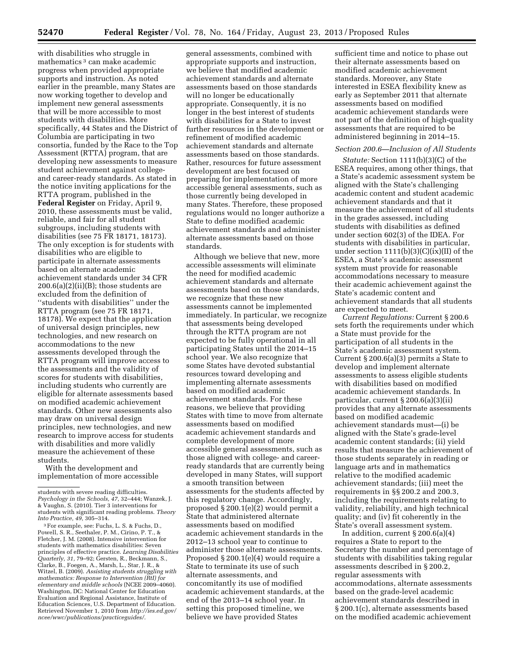with disabilities who struggle in mathematics 3 can make academic progress when provided appropriate supports and instruction. As noted earlier in the preamble, many States are now working together to develop and implement new general assessments that will be more accessible to most students with disabilities. More specifically, 44 States and the District of Columbia are participating in two consortia, funded by the Race to the Top Assessment (RTTA) program, that are developing new assessments to measure student achievement against collegeand career-ready standards. As stated in the notice inviting applications for the RTTA program, published in the **Federal Register** on Friday, April 9, 2010, these assessments must be valid, reliable, and fair for all student subgroups, including students with disabilities (see 75 FR 18171, 18173). The only exception is for students with disabilities who are eligible to participate in alternate assessments based on alternate academic achievement standards under 34 CFR  $200.6(a)(2)(ii)(B)$ ; those students are excluded from the definition of ''students with disabilities'' under the RTTA program (see 75 FR 18171, 18178). We expect that the application of universal design principles, new technologies, and new research on accommodations to the new assessments developed through the RTTA program will improve access to the assessments and the validity of scores for students with disabilities, including students who currently are eligible for alternate assessments based on modified academic achievement standards. Other new assessments also may draw on universal design principles, new technologies, and new research to improve access for students with disabilities and more validly measure the achievement of these students.

With the development and implementation of more accessible

general assessments, combined with appropriate supports and instruction, we believe that modified academic achievement standards and alternate assessments based on those standards will no longer be educationally appropriate. Consequently, it is no longer in the best interest of students with disabilities for a State to invest further resources in the development or refinement of modified academic achievement standards and alternate assessments based on those standards. Rather, resources for future assessment development are best focused on preparing for implementation of more accessible general assessments, such as those currently being developed in many States. Therefore, these proposed regulations would no longer authorize a State to define modified academic achievement standards and administer alternate assessments based on those standards.

Although we believe that new, more accessible assessments will eliminate the need for modified academic achievement standards and alternate assessments based on those standards, we recognize that these new assessments cannot be implemented immediately. In particular, we recognize that assessments being developed through the RTTA program are not expected to be fully operational in all participating States until the 2014–15 school year. We also recognize that some States have devoted substantial resources toward developing and implementing alternate assessments based on modified academic achievement standards. For these reasons, we believe that providing States with time to move from alternate assessments based on modified academic achievement standards and complete development of more accessible general assessments, such as those aligned with college- and careerready standards that are currently being developed in many States, will support a smooth transition between assessments for the students affected by this regulatory change. Accordingly, proposed § 200.1(e)(2) would permit a State that administered alternate assessments based on modified academic achievement standards in the 2012–13 school year to continue to administer those alternate assessments. Proposed § 200.1(e)(4) would require a State to terminate its use of such alternate assessments, and concomitantly its use of modified academic achievement standards, at the end of the 2013–14 school year. In setting this proposed timeline, we believe we have provided States

sufficient time and notice to phase out their alternate assessments based on modified academic achievement standards. Moreover, any State interested in ESEA flexibility knew as early as September 2011 that alternate assessments based on modified academic achievement standards were not part of the definition of high-quality assessments that are required to be administered beginning in 2014–15.

### *Section 200.6—Inclusion of All Students*

*Statute:* Section 1111(b)(3)(C) of the ESEA requires, among other things, that a State's academic assessment system be aligned with the State's challenging academic content and student academic achievement standards and that it measure the achievement of all students in the grades assessed, including students with disabilities as defined under section 602(3) of the IDEA. For students with disabilities in particular, under section 1111(b)(3)(C)(ix)(II) of the ESEA, a State's academic assessment system must provide for reasonable accommodations necessary to measure their academic achievement against the State's academic content and achievement standards that all students are expected to meet.

*Current Regulations:* Current § 200.6 sets forth the requirements under which a State must provide for the participation of all students in the State's academic assessment system. Current § 200.6(a)(3) permits a State to develop and implement alternate assessments to assess eligible students with disabilities based on modified academic achievement standards. In particular, current § 200.6(a)(3)(ii) provides that any alternate assessments based on modified academic achievement standards must—(i) be aligned with the State's grade-level academic content standards; (ii) yield results that measure the achievement of those students separately in reading or language arts and in mathematics relative to the modified academic achievement standards; (iii) meet the requirements in §§ 200.2 and 200.3, including the requirements relating to validity, reliability, and high technical quality; and (iv) fit coherently in the State's overall assessment system.

In addition, current  $\S 200.6(a)(4)$ requires a State to report to the Secretary the number and percentage of students with disabilities taking regular assessments described in § 200.2, regular assessments with accommodations, alternate assessments based on the grade-level academic achievement standards described in § 200.1(c), alternate assessments based on the modified academic achievement

students with severe reading difficulties. *Psychology in the Schools, 47,* 32–444; Wanzek, J. & Vaughn, S. (2010). Tier 3 interventions for students with significant reading problems. *Theory Into Practice, 49, 305–314.* <sup>3</sup> For example, see: Fuchs, L. S. & Fuchs, D.,

Powell, S. R., Seethaler, P. M., Cirino, P. T., & Fletcher, J. M. (2008). Intensive intervention for students with mathematics disabilities: Seven principles of effective practice. *Learning Disabilities Quarterly, 31,* 79–92; Gersten, R., Beckmann, S., Clarke, B., Foegen, A., Marsh, L., Star, J. R., & Witzel, B. (2009). *Assisting students struggling with mathematics: Response to Intervention (RtI) for elementary and middle schools* (NCEE 2009–4060). Washington, DC: National Center for Education Evaluation and Regional Assistance, Institute of Education Sciences, U.S. Department of Education. Retrieved November 1, 2010 from *[http://ies.ed.gov/](http://ies.ed.gov/ncee/wwc/publications/practiceguides/)  [ncee/wwc/publications/practiceguides/.](http://ies.ed.gov/ncee/wwc/publications/practiceguides/)*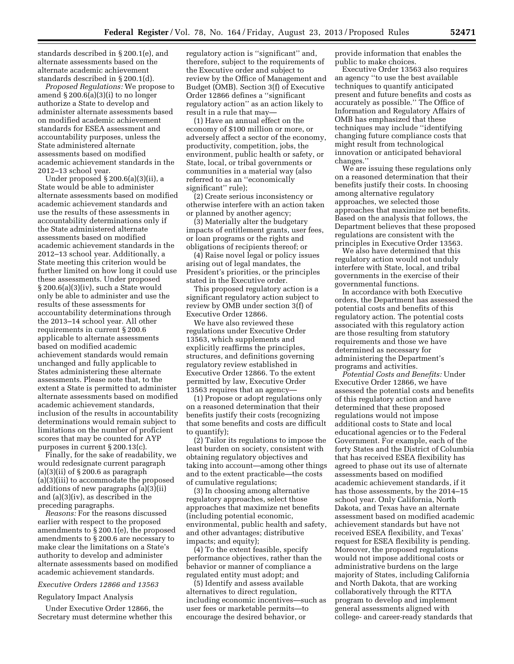standards described in § 200.1(e), and alternate assessments based on the alternate academic achievement standards described in § 200.1(d).

*Proposed Regulations:* We propose to amend  $\S 200.6(a)(3)(i)$  to no longer authorize a State to develop and administer alternate assessments based on modified academic achievement standards for ESEA assessment and accountability purposes, unless the State administered alternate assessments based on modified academic achievement standards in the 2012–13 school year.

Under proposed § 200.6(a)(3)(ii), a State would be able to administer alternate assessments based on modified academic achievement standards and use the results of these assessments in accountability determinations only if the State administered alternate assessments based on modified academic achievement standards in the 2012–13 school year. Additionally, a State meeting this criterion would be further limited on how long it could use these assessments. Under proposed § 200.6(a)(3)(iv), such a State would only be able to administer and use the results of these assessments for accountability determinations through the 2013–14 school year. All other requirements in current § 200.6 applicable to alternate assessments based on modified academic achievement standards would remain unchanged and fully applicable to States administering these alternate assessments. Please note that, to the extent a State is permitted to administer alternate assessments based on modified academic achievement standards, inclusion of the results in accountability determinations would remain subject to limitations on the number of proficient scores that may be counted for AYP purposes in current § 200.13(c).

Finally, for the sake of readability, we would redesignate current paragraph (a)(3)(ii) of  $\S 200.6$  as paragraph (a)(3)(iii) to accommodate the proposed additions of new paragraphs (a)(3)(ii) and (a)(3)(iv), as described in the preceding paragraphs.

*Reasons:* For the reasons discussed earlier with respect to the proposed amendments to § 200.1(e), the proposed amendments to § 200.6 are necessary to make clear the limitations on a State's authority to develop and administer alternate assessments based on modified academic achievement standards.

## *Executive Orders 12866 and 13563*

Regulatory Impact Analysis

Under Executive Order 12866, the Secretary must determine whether this regulatory action is ''significant'' and, therefore, subject to the requirements of the Executive order and subject to review by the Office of Management and Budget (OMB). Section 3(f) of Executive Order 12866 defines a ''significant regulatory action'' as an action likely to result in a rule that may—

(1) Have an annual effect on the economy of \$100 million or more, or adversely affect a sector of the economy, productivity, competition, jobs, the environment, public health or safety, or State, local, or tribal governments or communities in a material way (also referred to as an ''economically significant'' rule);

(2) Create serious inconsistency or otherwise interfere with an action taken or planned by another agency;

(3) Materially alter the budgetary impacts of entitlement grants, user fees, or loan programs or the rights and obligations of recipients thereof; or

(4) Raise novel legal or policy issues arising out of legal mandates, the President's priorities, or the principles stated in the Executive order.

This proposed regulatory action is a significant regulatory action subject to review by OMB under section 3(f) of Executive Order 12866.

We have also reviewed these regulations under Executive Order 13563, which supplements and explicitly reaffirms the principles, structures, and definitions governing regulatory review established in Executive Order 12866. To the extent permitted by law, Executive Order 13563 requires that an agency—

(1) Propose or adopt regulations only on a reasoned determination that their benefits justify their costs (recognizing that some benefits and costs are difficult to quantify);

(2) Tailor its regulations to impose the least burden on society, consistent with obtaining regulatory objectives and taking into account—among other things and to the extent practicable—the costs of cumulative regulations;

(3) In choosing among alternative regulatory approaches, select those approaches that maximize net benefits (including potential economic, environmental, public health and safety, and other advantages; distributive impacts; and equity);

(4) To the extent feasible, specify performance objectives, rather than the behavior or manner of compliance a regulated entity must adopt; and

(5) Identify and assess available alternatives to direct regulation, including economic incentives—such as user fees or marketable permits—to encourage the desired behavior, or

provide information that enables the public to make choices.

Executive Order 13563 also requires an agency ''to use the best available techniques to quantify anticipated present and future benefits and costs as accurately as possible.'' The Office of Information and Regulatory Affairs of OMB has emphasized that these techniques may include ''identifying changing future compliance costs that might result from technological innovation or anticipated behavioral changes.''

We are issuing these regulations only on a reasoned determination that their benefits justify their costs. In choosing among alternative regulatory approaches, we selected those approaches that maximize net benefits. Based on the analysis that follows, the Department believes that these proposed regulations are consistent with the principles in Executive Order 13563.

We also have determined that this regulatory action would not unduly interfere with State, local, and tribal governments in the exercise of their governmental functions.

In accordance with both Executive orders, the Department has assessed the potential costs and benefits of this regulatory action. The potential costs associated with this regulatory action are those resulting from statutory requirements and those we have determined as necessary for administering the Department's programs and activities.

*Potential Costs and Benefits:* Under Executive Order 12866, we have assessed the potential costs and benefits of this regulatory action and have determined that these proposed regulations would not impose additional costs to State and local educational agencies or to the Federal Government. For example, each of the forty States and the District of Columbia that has received ESEA flexibility has agreed to phase out its use of alternate assessments based on modified academic achievement standards, if it has those assessments, by the 2014–15 school year. Only California, North Dakota, and Texas have an alternate assessment based on modified academic achievement standards but have not received ESEA flexibility, and Texas' request for ESEA flexibility is pending. Moreover, the proposed regulations would not impose additional costs or administrative burdens on the large majority of States, including California and North Dakota, that are working collaboratively through the RTTA program to develop and implement general assessments aligned with college- and career-ready standards that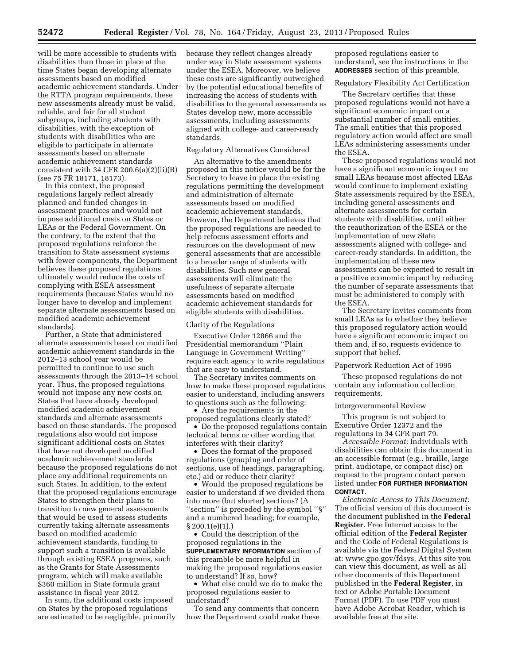will be more accessible to students with disabilities than those in place at the time States began developing alternate assessments based on modified academic achievement standards. Under the RTTA program requirements, these new assessments already must be valid, reliable, and fair for all student subgroups, including students with disabilities, with the exception of students with disabilities who are eligible to participate in alternate assessments based on alternate academic achievement standards consistent with  $34$  CFR  $200.6(a)(2)(ii)(B)$ (see 75 FR 18171, 18173).

In this context, the proposed regulations largely reflect already planned and funded changes in assessment practices and would not impose additional costs on States or LEAs or the Federal Government. On the contrary, to the extent that the proposed regulations reinforce the transition to State assessment systems with fewer components, the Department believes these proposed regulations ultimately would reduce the costs of complying with ESEA assessment requirements (because States would no longer have to develop and implement separate alternate assessments based on modified academic achievement standards).

Further, a State that administered alternate assessments based on modified academic achievement standards in the 2012–13 school year would be permitted to continue to use such assessments through the 2013–14 school year. Thus, the proposed regulations would not impose any new costs on States that have already developed modified academic achievement standards and alternate assessments based on those standards. The proposed regulations also would not impose significant additional costs on States that have not developed modified academic achievement standards because the proposed regulations do not place any additional requirements on such States. In addition, to the extent that the proposed regulations encourage States to strengthen their plans to transition to new general assessments that would be used to assess students currently taking alternate assessments based on modified academic achievement standards, funding to support such a transition is available through existing ESEA programs, such as the Grants for State Assessments program, which will make available \$360 million in State formula grant assistance in fiscal year 2012.

In sum, the additional costs imposed on States by the proposed regulations are estimated to be negligible, primarily because they reflect changes already under way in State assessment systems under the ESEA. Moreover, we believe these costs are significantly outweighed by the potential educational benefits of increasing the access of students with disabilities to the general assessments as States develop new, more accessible assessments, including assessments aligned with college- and career-ready standards.

### Regulatory Alternatives Considered

An alternative to the amendments proposed in this notice would be for the Secretary to leave in place the existing regulations permitting the development and administration of alternate assessments based on modified academic achievement standards. However, the Department believes that the proposed regulations are needed to help refocus assessment efforts and resources on the development of new general assessments that are accessible to a broader range of students with disabilities. Such new general assessments will eliminate the usefulness of separate alternate assessments based on modified academic achievement standards for eligible students with disabilities.

#### Clarity of the Regulations

Executive Order 12866 and the Presidential memorandum ''Plain Language in Government Writing'' require each agency to write regulations that are easy to understand.

The Secretary invites comments on how to make these proposed regulations easier to understand, including answers to questions such as the following:

• Are the requirements in the proposed regulations clearly stated?

• Do the proposed regulations contain technical terms or other wording that interferes with their clarity?

• Does the format of the proposed regulations (grouping and order of sections, use of headings, paragraphing, etc.) aid or reduce their clarity?

• Would the proposed regulations be easier to understand if we divided them into more (but shorter) sections? (A ''section'' is preceded by the symbol ''§'' and a numbered heading; for example, § 200.1(e)(1).)

• Could the description of the proposed regulations in the **SUPPLEMENTARY INFORMATION** section of this preamble be more helpful in making the proposed regulations easier to understand? If so, how?

• What else could we do to make the proposed regulations easier to understand?

To send any comments that concern how the Department could make these proposed regulations easier to understand, see the instructions in the **ADDRESSES** section of this preamble.

### Regulatory Flexibility Act Certification

The Secretary certifies that these proposed regulations would not have a significant economic impact on a substantial number of small entities. The small entities that this proposed regulatory action would affect are small LEAs administering assessments under the ESEA.

These proposed regulations would not have a significant economic impact on small LEAs because most affected LEAs would continue to implement existing State assessments required by the ESEA, including general assessments and alternate assessments for certain students with disabilities, until either the reauthorization of the ESEA or the implementation of new State assessments aligned with college- and career-ready standards. In addition, the implementation of these new assessments can be expected to result in a positive economic impact by reducing the number of separate assessments that must be administered to comply with the ESEA.

The Secretary invites comments from small LEAs as to whether they believe this proposed regulatory action would have a significant economic impact on them and, if so, requests evidence to support that belief.

#### Paperwork Reduction Act of 1995

These proposed regulations do not contain any information collection requirements.

#### Intergovernmental Review

This program is not subject to Executive Order 12372 and the regulations in 34 CFR part 79.

*Accessible Format:* Individuals with disabilities can obtain this document in an accessible format (e.g., braille, large print, audiotape, or compact disc) on request to the program contact person listed under **FOR FURTHER INFORMATION CONTACT**.

*Electronic Access to This Document:*  The official version of this document is the document published in the **Federal Register**. Free Internet access to the official edition of the **Federal Register**  and the Code of Federal Regulations is available via the Federal Digital System at: [www.gpo.gov/fdsys. A](http://www.gpo.gov/fdsys)t this site you can view this document, as well as all other documents of this Department published in the **Federal Register**, in text or Adobe Portable Document Format (PDF). To use PDF you must have Adobe Acrobat Reader, which is available free at the site.